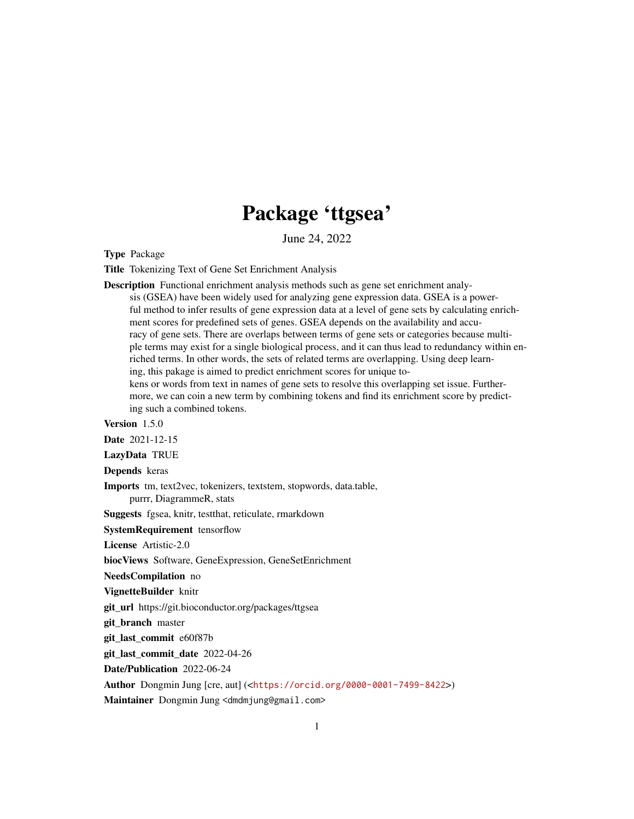## Package 'ttgsea'

June 24, 2022

Type Package

Title Tokenizing Text of Gene Set Enrichment Analysis

Description Functional enrichment analysis methods such as gene set enrichment analy-

sis (GSEA) have been widely used for analyzing gene expression data. GSEA is a powerful method to infer results of gene expression data at a level of gene sets by calculating enrichment scores for predefined sets of genes. GSEA depends on the availability and accuracy of gene sets. There are overlaps between terms of gene sets or categories because multiple terms may exist for a single biological process, and it can thus lead to redundancy within enriched terms. In other words, the sets of related terms are overlapping. Using deep learning, this pakage is aimed to predict enrichment scores for unique to-

kens or words from text in names of gene sets to resolve this overlapping set issue. Furthermore, we can coin a new term by combining tokens and find its enrichment score by predicting such a combined tokens.

Version 1.5.0

Date 2021-12-15

LazyData TRUE

Depends keras

Imports tm, text2vec, tokenizers, textstem, stopwords, data.table, purrr, DiagrammeR, stats

Suggests fgsea, knitr, testthat, reticulate, rmarkdown

SystemRequirement tensorflow

License Artistic-2.0

biocViews Software, GeneExpression, GeneSetEnrichment

NeedsCompilation no

VignetteBuilder knitr

git\_url https://git.bioconductor.org/packages/ttgsea

git branch master

git\_last\_commit e60f87b

git\_last\_commit\_date 2022-04-26

Date/Publication 2022-06-24

Author Dongmin Jung [cre, aut] (<<https://orcid.org/0000-0001-7499-8422>>)

Maintainer Dongmin Jung <dmdmjung@gmail.com>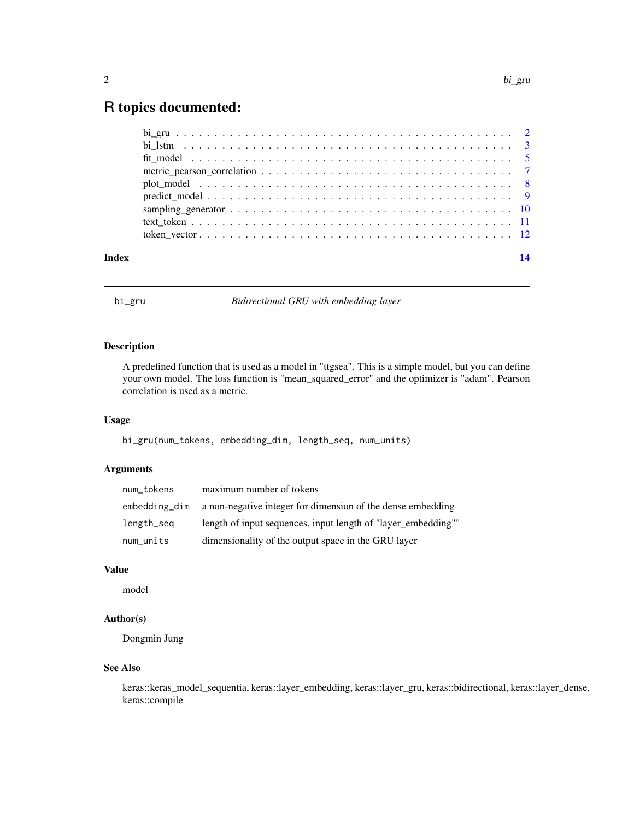### <span id="page-1-0"></span>R topics documented:

| Index |                                                                                                         |  |
|-------|---------------------------------------------------------------------------------------------------------|--|
|       |                                                                                                         |  |
|       |                                                                                                         |  |
|       |                                                                                                         |  |
|       |                                                                                                         |  |
|       | plot model $\ldots \ldots \ldots \ldots \ldots \ldots \ldots \ldots \ldots \ldots \ldots \ldots \ldots$ |  |
|       |                                                                                                         |  |
|       |                                                                                                         |  |
|       |                                                                                                         |  |
|       |                                                                                                         |  |

bi\_gru *Bidirectional GRU with embedding layer*

#### Description

A predefined function that is used as a model in "ttgsea". This is a simple model, but you can define your own model. The loss function is "mean\_squared\_error" and the optimizer is "adam". Pearson correlation is used as a metric.

#### Usage

bi\_gru(num\_tokens, embedding\_dim, length\_seq, num\_units)

#### Arguments

| num_tokens    | maximum number of tokens                                      |
|---------------|---------------------------------------------------------------|
| embedding_dim | a non-negative integer for dimension of the dense embedding   |
| length_seq    | length of input sequences, input length of "layer embedding"" |
| num_units     | dimensionality of the output space in the GRU layer           |

### Value

model

#### Author(s)

Dongmin Jung

#### See Also

keras::keras\_model\_sequentia, keras::layer\_embedding, keras::layer\_gru, keras::bidirectional, keras::layer\_dense, keras::compile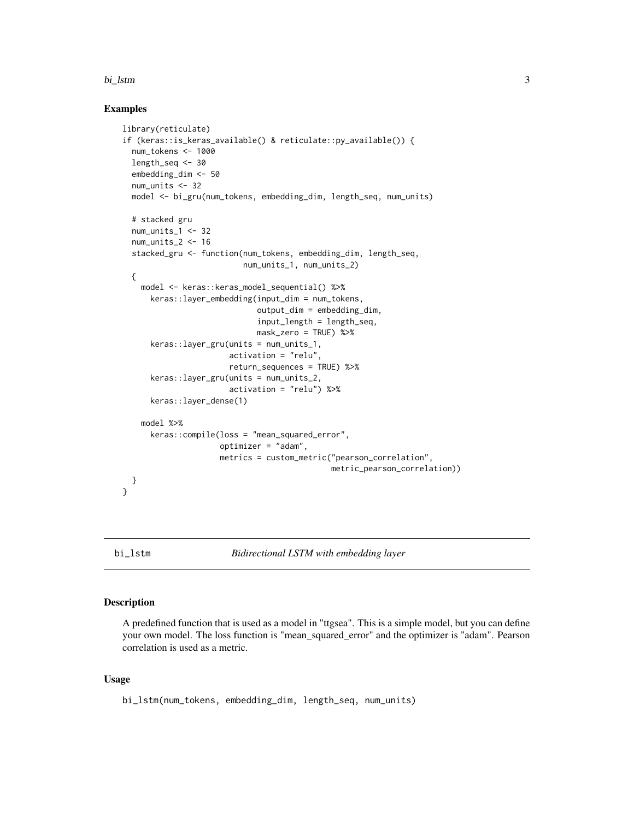#### <span id="page-2-0"></span>bi\_lstm 3

#### Examples

```
library(reticulate)
if (keras::is_keras_available() & reticulate::py_available()) {
 num_tokens <- 1000
 length_seq <- 30
 embedding_dim <- 50
 num_units <- 32
 model <- bi_gru(num_tokens, embedding_dim, length_seq, num_units)
 # stacked gru
 num_units_1 <- 32
 num_units_2 <- 16
 stacked_gru <- function(num_tokens, embedding_dim, length_seq,
                          num_units_1, num_units_2)
 {
   model <- keras::keras_model_sequential() %>%
     keras::layer_embedding(input_dim = num_tokens,
                             output_dim = embedding_dim,
                             input_length = length_seq,
                             mask_zero = TRUE) %>%
     keras::layer_gru(units = num_units_1,
                       activation = "relu",
                       return_sequences = TRUE) %>%
     keras::layer_gru(units = num_units_2,
                       activation = "relu") %>%
      keras::layer_dense(1)
    model %>%
     keras::compile(loss = "mean_squared_error",
                     optimizer = "adam",
                     metrics = custom_metric("pearson_correlation",
                                             metric_pearson_correlation))
 }
}
```
bi\_lstm *Bidirectional LSTM with embedding layer*

#### Description

A predefined function that is used as a model in "ttgsea". This is a simple model, but you can define your own model. The loss function is "mean\_squared\_error" and the optimizer is "adam". Pearson correlation is used as a metric.

#### Usage

```
bi_lstm(num_tokens, embedding_dim, length_seq, num_units)
```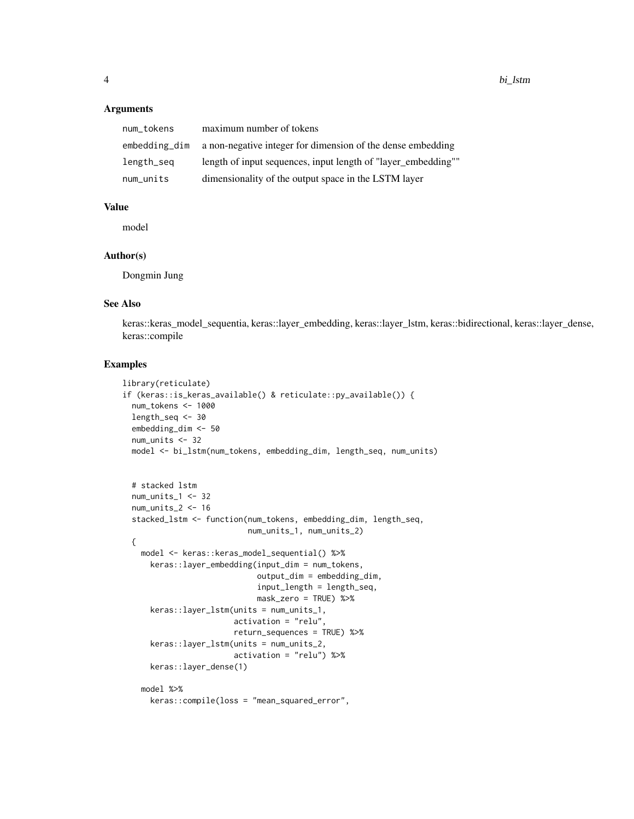#### Arguments

| num_tokens    | maximum number of tokens                                      |
|---------------|---------------------------------------------------------------|
| embedding_dim | a non-negative integer for dimension of the dense embedding   |
| length_seq    | length of input sequences, input length of "layer_embedding"" |
| num_units     | dimensionality of the output space in the LSTM layer          |

#### Value

model

#### Author(s)

Dongmin Jung

#### See Also

keras::keras\_model\_sequentia, keras::layer\_embedding, keras::layer\_lstm, keras::bidirectional, keras::layer\_dense, keras::compile

```
library(reticulate)
if (keras::is_keras_available() & reticulate::py_available()) {
  num_tokens <- 1000
  length_seq <- 30
  embedding_dim <- 50
  num_units <- 32
  model <- bi_lstm(num_tokens, embedding_dim, length_seq, num_units)
  # stacked lstm
  num_units_1 <- 32
  num_units_2 <- 16
  stacked_lstm <- function(num_tokens, embedding_dim, length_seq,
                           num_units_1, num_units_2)
  {
    model <- keras::keras_model_sequential() %>%
      keras::layer_embedding(input_dim = num_tokens,
                             output_dim = embedding_dim,
                             input_length = length_seq,
                             mask_zero = TRUE) %>%
      keras::layer_lstm(units = num_units_1,
                        activation = "relu",
                        return_sequences = TRUE) %>%
      keras::layer_lstm(units = num_units_2,
                        activation = "relu") %>%
      keras::layer_dense(1)
    model %>%
      keras::compile(loss = "mean_squared_error",
```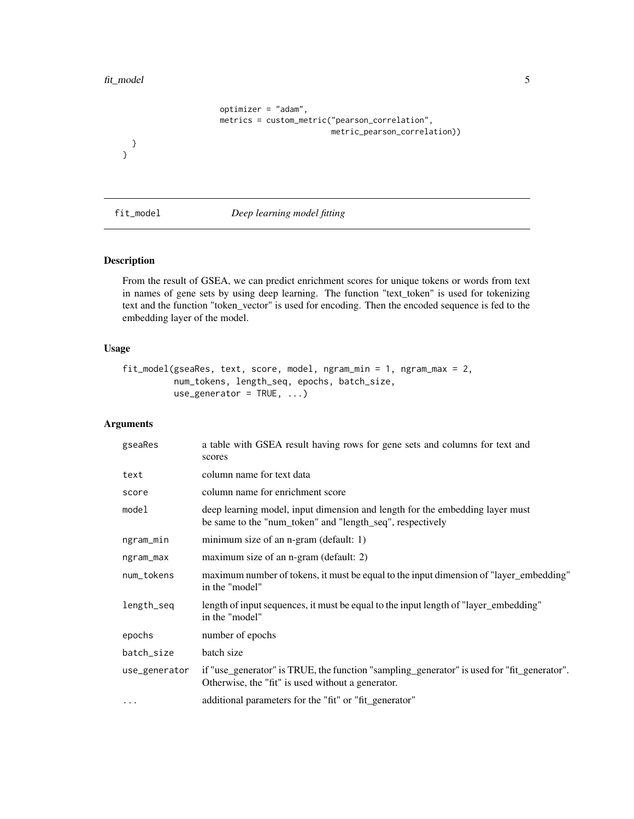#### <span id="page-4-0"></span>fit\_model 5

```
optimizer = "adam",
metrics = custom_metric("pearson_correlation",
                        metric_pearson_correlation))
```
} }

#### fit\_model *Deep learning model fitting*

#### Description

From the result of GSEA, we can predict enrichment scores for unique tokens or words from text in names of gene sets by using deep learning. The function "text\_token" is used for tokenizing text and the function "token\_vector" is used for encoding. Then the encoded sequence is fed to the embedding layer of the model.

#### Usage

```
fit_model(gseaRes, text, score, model, ngram_min = 1, ngram_max = 2,
          num_tokens, length_seq, epochs, batch_size,
          use_generator = TRUE, ...)
```
#### Arguments

| gseaRes       | a table with GSEA result having rows for gene sets and columns for text and<br>scores                                                           |
|---------------|-------------------------------------------------------------------------------------------------------------------------------------------------|
| text          | column name for text data                                                                                                                       |
| score         | column name for enrichment score                                                                                                                |
| model         | deep learning model, input dimension and length for the embedding layer must<br>be same to the "num_token" and "length_seq", respectively       |
| ngram_min     | minimum size of an n-gram (default: 1)                                                                                                          |
| ngram_max     | maximum size of an n-gram (default: 2)                                                                                                          |
| num_tokens    | maximum number of tokens, it must be equal to the input dimension of "layer_embedding"<br>in the "model"                                        |
| length_seq    | length of input sequences, it must be equal to the input length of "layer_embedding"<br>in the "model"                                          |
| epochs        | number of epochs                                                                                                                                |
| batch_size    | batch size                                                                                                                                      |
| use_generator | if "use_generator" is TRUE, the function "sampling_generator" is used for "fit_generator".<br>Otherwise, the "fit" is used without a generator. |
| $\ddotsc$     | additional parameters for the "fit" or "fit_generator"                                                                                          |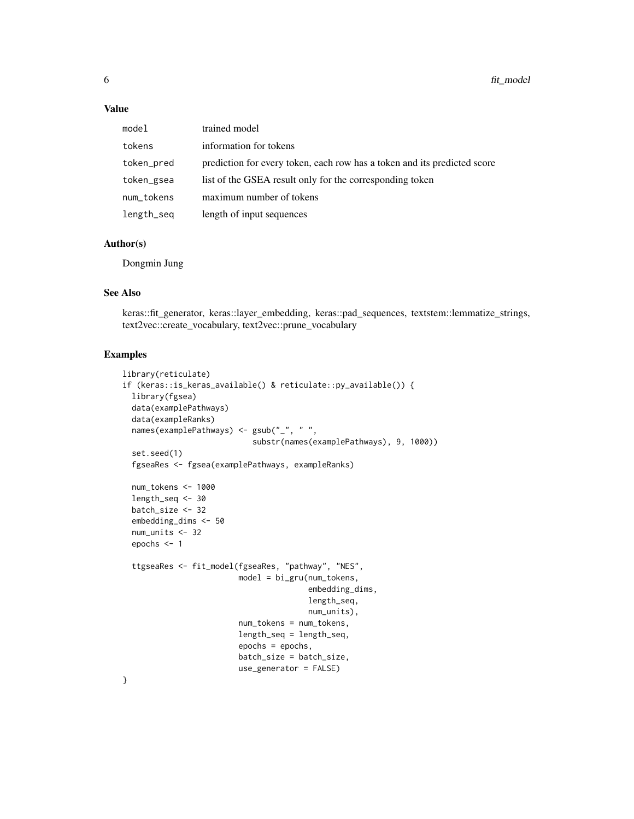#### Value

| model      | trained model                                                            |
|------------|--------------------------------------------------------------------------|
| tokens     | information for tokens                                                   |
| token_pred | prediction for every token, each row has a token and its predicted score |
| token_gsea | list of the GSEA result only for the corresponding token                 |
| num_tokens | maximum number of tokens                                                 |
| length_seq | length of input sequences                                                |

#### Author(s)

Dongmin Jung

#### See Also

keras::fit\_generator, keras::layer\_embedding, keras::pad\_sequences, textstem::lemmatize\_strings, text2vec::create\_vocabulary, text2vec::prune\_vocabulary

#### Examples

```
library(reticulate)
if (keras::is_keras_available() & reticulate::py_available()) {
 library(fgsea)
 data(examplePathways)
 data(exampleRanks)
 names(examplePathways) <- gsub("_", " ",
                            substr(names(examplePathways), 9, 1000))
 set.seed(1)
 fgseaRes <- fgsea(examplePathways, exampleRanks)
 num_tokens <- 1000
 length_seq <- 30
 batch_size <- 32
 embedding_dims <- 50
 num_units <- 32
 epochs <- 1
 ttgseaRes <- fit_model(fgseaRes, "pathway", "NES",
                         model = bi_gru(num_tokens,
                                        embedding_dims,
                                        length_seq,
                                        num_units),
                         num_tokens = num_tokens,
                         length_seq = length_seq,
                         epochs = epochs,
                        batch_size = batch_size,
                         use_generator = FALSE)
```
}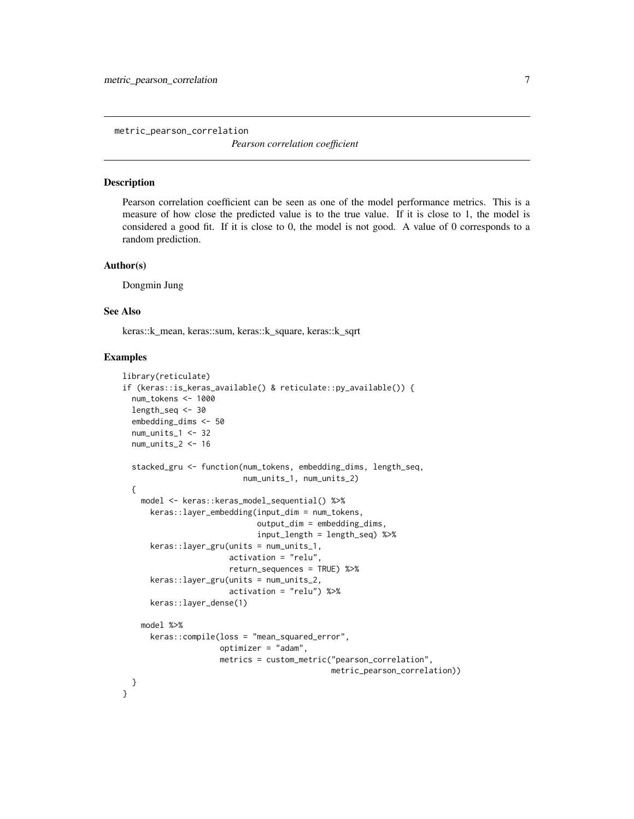<span id="page-6-0"></span>metric\_pearson\_correlation

*Pearson correlation coefficient*

#### Description

Pearson correlation coefficient can be seen as one of the model performance metrics. This is a measure of how close the predicted value is to the true value. If it is close to 1, the model is considered a good fit. If it is close to 0, the model is not good. A value of 0 corresponds to a random prediction.

#### Author(s)

Dongmin Jung

#### See Also

keras::k\_mean, keras::sum, keras::k\_square, keras::k\_sqrt

```
library(reticulate)
if (keras::is_keras_available() & reticulate::py_available()) {
 num_tokens <- 1000
 length_seq <- 30
 embedding_dims <- 50
 num_units_1 <- 32
 num_units_2 <- 16
 stacked_gru <- function(num_tokens, embedding_dims, length_seq,
                          num_units_1, num_units_2)
 {
   model <- keras::keras_model_sequential() %>%
     keras::layer_embedding(input_dim = num_tokens,
                             output_dim = embedding_dims,
                             input_length = length_seq) %>%
     keras::layer_gru(units = num_units_1,
                       activation = "relu",
                       return_sequences = TRUE) %>%
     keras::layer_gru(units = num_units_2,
                       activation = "relu") %>%
      keras::layer_dense(1)
    model %>%
     keras::compile(loss = "mean_squared_error",
                     optimizer = "adam",
                     metrics = custom_metric("pearson_correlation",
                                             metric_pearson_correlation))
 }
}
```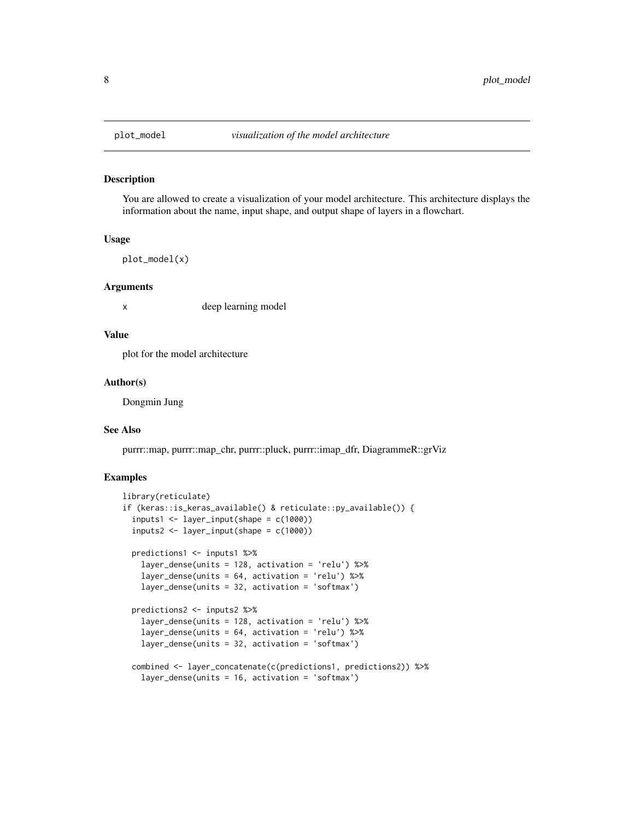<span id="page-7-0"></span>

#### Description

You are allowed to create a visualization of your model architecture. This architecture displays the information about the name, input shape, and output shape of layers in a flowchart.

#### Usage

plot\_model(x)

#### Arguments

x deep learning model

#### Value

plot for the model architecture

#### Author(s)

Dongmin Jung

#### See Also

purrr::map, purrr::map\_chr, purrr::pluck, purrr::imap\_dfr, DiagrammeR::grViz

```
library(reticulate)
if (keras::is_keras_available() & reticulate::py_available()) {
 inputs1 <- layer_input(shape = c(1000))
 inputs2 < - layer\_input(shape = c(1000))predictions1 <- inputs1 %>%
    layer_dense(units = 128, activation = 'relu') %>%
    layer_dense(units = 64, activation = 'relu') %>%
   layer_dense(units = 32, activation = 'softmax')
 predictions2 <- inputs2 %>%
    layer_dense(units = 128, activation = 'relu') %>%
    layer_dense(units = 64, activation = 'relu') %>%
    layer_dense(units = 32, activation = 'softmax')
 combined <- layer_concatenate(c(predictions1, predictions2)) %>%
    layer_dense(units = 16, activation = 'softmax')
```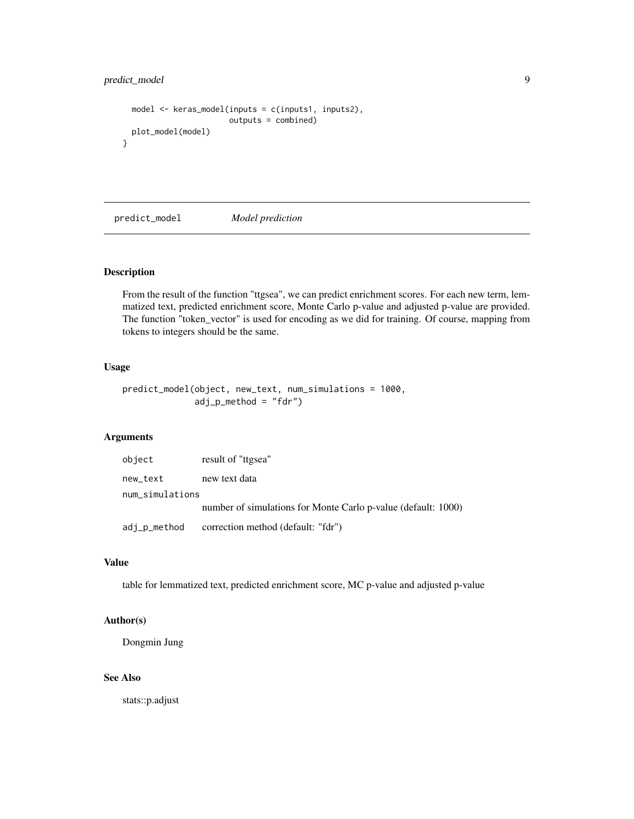#### <span id="page-8-0"></span>predict\_model 9

```
model <- keras_model(inputs = c(inputs1, inputs2),
                       outputs = combined)
 plot_model(model)
}
```
predict\_model *Model prediction*

#### Description

From the result of the function "ttgsea", we can predict enrichment scores. For each new term, lemmatized text, predicted enrichment score, Monte Carlo p-value and adjusted p-value are provided. The function "token\_vector" is used for encoding as we did for training. Of course, mapping from tokens to integers should be the same.

#### Usage

```
predict_model(object, new_text, num_simulations = 1000,
              adj_p_method = "fdr")
```
#### Arguments

| object          | result of "ttgsea"                                            |
|-----------------|---------------------------------------------------------------|
| new_text        | new text data                                                 |
| num_simulations |                                                               |
|                 | number of simulations for Monte Carlo p-value (default: 1000) |
| adj_p_method    | correction method (default: "fdr")                            |

#### Value

table for lemmatized text, predicted enrichment score, MC p-value and adjusted p-value

#### Author(s)

Dongmin Jung

#### See Also

stats::p.adjust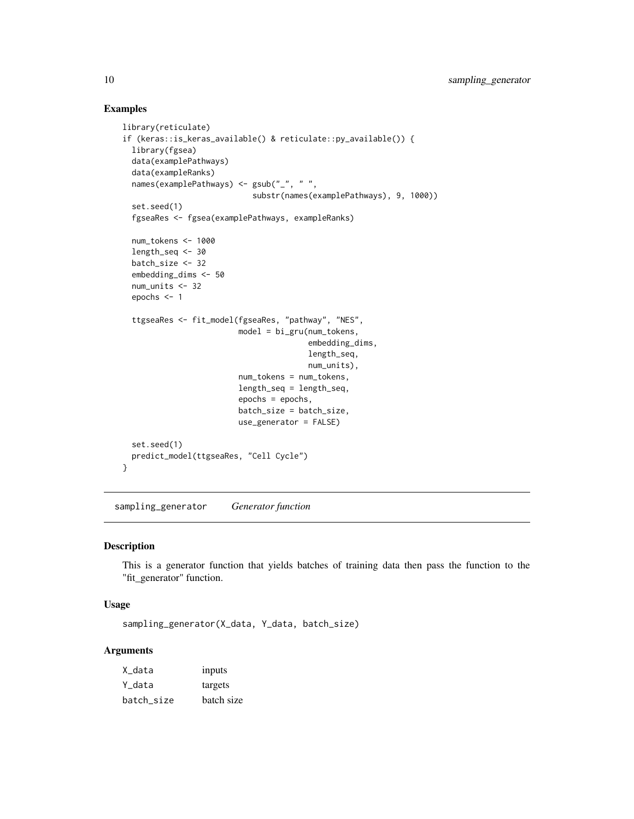#### Examples

```
library(reticulate)
if (keras::is_keras_available() & reticulate::py_available()) {
 library(fgsea)
 data(examplePathways)
 data(exampleRanks)
 names(examplePathways) <- gsub("_", " ",
                            substr(names(examplePathways), 9, 1000))
 set.seed(1)
 fgseaRes <- fgsea(examplePathways, exampleRanks)
 num_tokens <- 1000
 length_seq <- 30
 batch_size <- 32
 embedding_dims <- 50
 num_units <- 32
 epochs <- 1
 ttgseaRes <- fit_model(fgseaRes, "pathway", "NES",
                         model = bi_gru(num_tokens,
                                        embedding_dims,
                                        length_seq,
                                        num_units),
                         num_tokens = num_tokens,
                         length_seq = length_seq,
                         epochs = epochs,
                         batch_size = batch_size,
                         use_generator = FALSE)
 set.seed(1)
 predict_model(ttgseaRes, "Cell Cycle")
}
```
sampling\_generator *Generator function*

#### Description

This is a generator function that yields batches of training data then pass the function to the "fit\_generator" function.

#### Usage

sampling\_generator(X\_data, Y\_data, batch\_size)

#### Arguments

| X_data     | inputs     |
|------------|------------|
| Y data     | targets    |
| batch_size | batch size |

<span id="page-9-0"></span>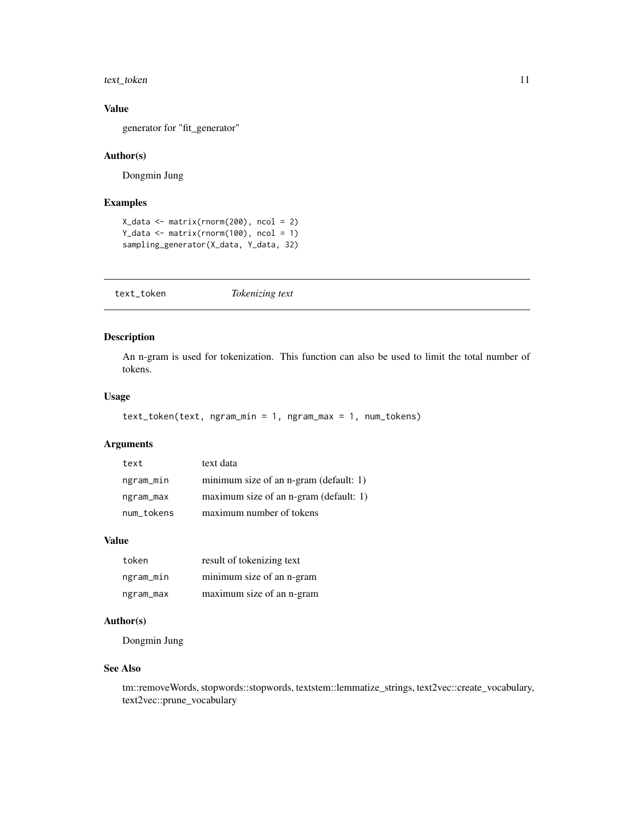#### <span id="page-10-0"></span>text\_token 11

#### Value

generator for "fit\_generator"

#### Author(s)

Dongmin Jung

#### Examples

```
X_data <- matrix(rnorm(200), ncol = 2)
Y_data <- matrix(rnorm(100), ncol = 1)
sampling_generator(X_data, Y_data, 32)
```
text\_token *Tokenizing text*

#### Description

An n-gram is used for tokenization. This function can also be used to limit the total number of tokens.

#### Usage

```
text_token(text, ngram_min = 1, ngram_max = 1, num_tokens)
```
#### Arguments

| text       | text data                              |
|------------|----------------------------------------|
| ngram_min  | minimum size of an n-gram (default: 1) |
| ngram_max  | maximum size of an n-gram (default: 1) |
| num_tokens | maximum number of tokens               |

#### Value

| token     | result of tokenizing text |
|-----------|---------------------------|
| ngram_min | minimum size of an n-gram |
| ngram_max | maximum size of an n-gram |

#### Author(s)

Dongmin Jung

#### See Also

tm::removeWords, stopwords::stopwords, textstem::lemmatize\_strings, text2vec::create\_vocabulary, text2vec::prune\_vocabulary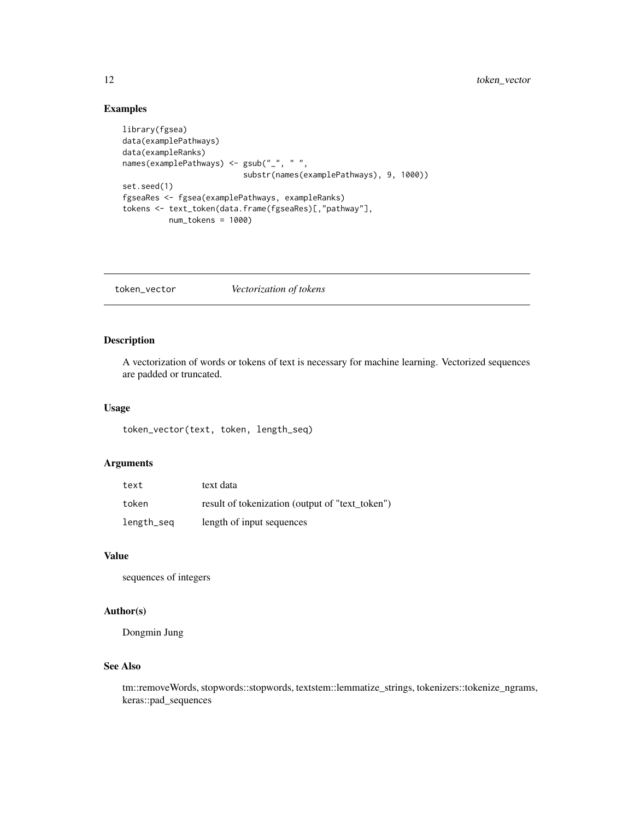#### <span id="page-11-0"></span>Examples

```
library(fgsea)
data(examplePathways)
data(exampleRanks)
names(examplePathways) <- gsub("_", " ",
                          substr(names(examplePathways), 9, 1000))
set.seed(1)
fgseaRes <- fgsea(examplePathways, exampleRanks)
tokens <- text_token(data.frame(fgseaRes)[,"pathway"],
          num_tokens = 1000)
```
token\_vector *Vectorization of tokens*

#### Description

A vectorization of words or tokens of text is necessary for machine learning. Vectorized sequences are padded or truncated.

#### Usage

token\_vector(text, token, length\_seq)

#### Arguments

| text       | text data                                       |
|------------|-------------------------------------------------|
| token      | result of tokenization (output of "text_token") |
| length_seq | length of input sequences                       |

#### Value

sequences of integers

#### Author(s)

Dongmin Jung

#### See Also

tm::removeWords, stopwords::stopwords, textstem::lemmatize\_strings, tokenizers::tokenize\_ngrams, keras::pad\_sequences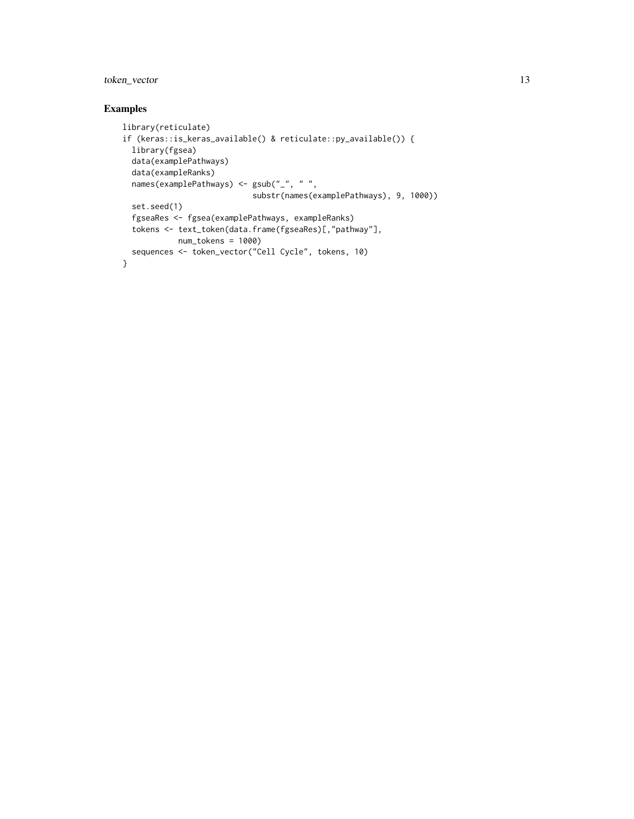token\_vector 13

```
library(reticulate)
if (keras::is_keras_available() & reticulate::py_available()) {
 library(fgsea)
 data(examplePathways)
  data(exampleRanks)
  names(examplePathways) <- gsub("_", " ",
                           substr(names(examplePathways), 9, 1000))
  set.seed(1)
  fgseaRes <- fgsea(examplePathways, exampleRanks)
 tokens <- text_token(data.frame(fgseaRes)[,"pathway"],
           num_tokens = 1000)
 sequences <- token_vector("Cell Cycle", tokens, 10)
}
```